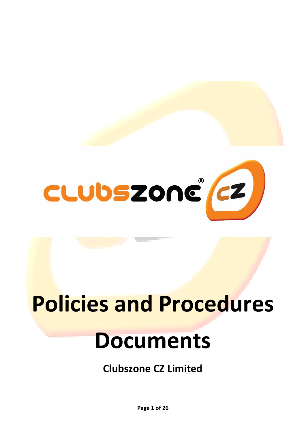

# **Policies and Procedures**

# **Documents**

**Clubszone CZ Limited**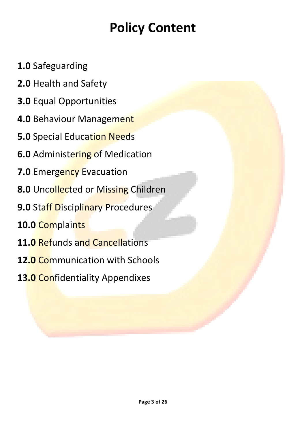## **Policy Content**

- **1.0** Safeguarding
- **2.0** Health and Safety
- **3.0** Equal Opportunities
- **4.0** Behaviour Management
- **5.0** Special Education Needs
- **6.0** Administering of Medication
- **7.0** Emergency Evacuation
- **8.0** Uncollected or Missing Children
- **9.0 Staff Disciplinary Procedures**
- **10.0** Complaints
- **11.0** Refunds and Cancellations
- **12.0** Communication with Schools
- **13.0** Confidentiality Appendixes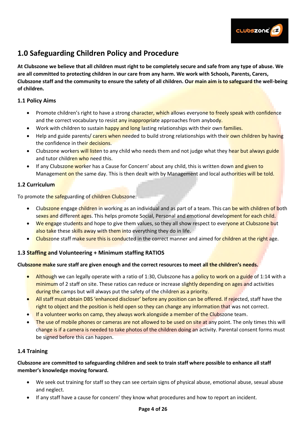

## **1.0 Safeguarding Children Policy and Procedure**

**At Clubszone we believe that all children must right to be completely secure and safe from any type of abuse. We are all committed to protecting children in our care from any harm. We work with Schools, Parents, Carers, Clubszone staff and the community to ensure the safety of all children. Our main aim is to safeguard the well-being of children.** 

#### **1.1 Policy Aims**

- Promote children's right to have a strong character, which allows everyone to freely speak with confidence and the correct vocabulary to resist any inappropriate approaches from anybody.
- Work with children to sustain happy and long lasting relationships with their own families.
- Help and guide parents/ carers when needed to build strong relationships with their own children by having the confidence in their decisions.
- Clubszone workers will listen to any child who needs them and not judge what they hear but always guide and tutor children who need this.
- If any Clubszone worker has a Cause for Concern' about any child, this is written down and given to Management on the same day. This is then dealt with by Management and local authorities will be told.

#### **1.2 Curriculum**

To promote the safeguarding of children Clubszone:

- Clubszone engage children in working as an individual and as part of a team. This can be with children of both sexes and different ages. This helps promote Social, Personal and emotional development for each child.
- We engage students and hope to give them values, so they all show respect to everyone at Clubszone but also take these skills away with them into everything they do in life.
- Clubszone staff make sure this is conducted in the correct manner and aimed for children at the right age.

#### **1.3 Staffing and Volunteering + Minimum staffing RATIOS**

#### **Clubszone make sure staff are given enough and the correct resources to meet all the children's needs.**

- Although we can legally operate with a ratio of 1:30, Clubszone has a policy to work on a guide of 1:14 with a minimum of 2 staff on site. These ratios can reduce or increase slightly depending on ages and activities during the camps but will always put the safety of the children as a priority.
- All staff must obtain DBS 'enhanced discloser' before any position can be offered. If rejected, staff have the right to object and the position is held open so they can change any information that was not correct.
- If a volunteer works on camp, they always work alongside a member of the Clubszone team.
- The use of mobile phones or cameras are not allowed to be used on site at any point. The only times this will change is if a camera is needed to take photos of the children doing an activity. Parental consent forms must be signed before this can happen.

#### **1.4 Training**

#### **Clubszone are committed to safeguarding children and seek to train staff where possible to enhance all staff member's knowledge moving forward.**

- We seek out training for staff so they can see certain signs of physical abuse, emotional abuse, sexual abuse and neglect.
- If any staff have a cause for concern' they know what procedures and how to report an incident.

#### **Page 4 of 26**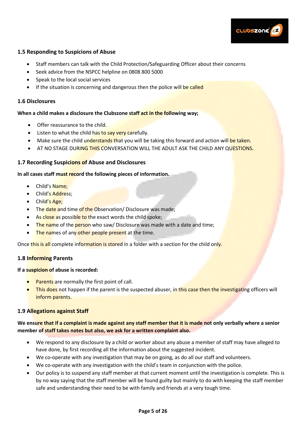

#### **1.5 Responding to Suspicions of Abuse**

- Staff members can talk with the Child Protection/Safeguarding Officer about their concerns
- Seek advice from the NSPCC helpline on 0808 800 5000
- Speak to the local social services
- If the situation is concerning and dangerous then the police will be called

#### **1.6 Disclosures**

#### **When a child makes a disclosure the Clubszone staff act in the following way;**

- Offer reassurance to the child.
- Listen to what the child has to say very carefully.
- Make sure the child understands that you will be taking this forward and action will be taken.
- AT NO STAGE DURING THIS CONVERSATION WILL THE ADULT ASK THE CHILD ANY QUESTIONS.

#### **1.7 Recording Suspicions of Abuse and Disclosures**

#### **In all cases staff must record the following pieces of information.**

- Child's Name;
- Child's Address:
- Child's Age;
- The date and time of the Observation/ Disclosure was made;
- As close as possible to the exact words the child spoke;
- The name of the person who saw/ Disclosure was made with a date and time;
- The names of any other people present at the time.

Once this is all complete information is stored in a folder with a section for the child only.

#### **1.8 Informing Parents**

#### **If a suspicion of abuse is recorded:**

- Parents are normally the first point of call.
- This does not happen if the parent is the suspected abuser, in this case then the investigating officers will inform parents.

#### **1.9 Allegations against Staff**

#### **We ensure that if a complaint is made against any staff member that it is made not only verbally where a senior member of staff takes notes but also, we ask for a written complaint also.**

- We respond to any disclosure by a child or worker about any abuse a member of staff may have alleged to have done, by first recording all the information about the suggested incident.
- We co-operate with any investigation that may be on going, as do all our staff and volunteers.
- We co-operate with any investigation with the child's team in conjunction with the police.
- Our policy is to suspend any staff member at that current moment until the investigation is complete. This is by no way saying that the staff member will be found guilty but mainly to do with keeping the staff member safe and understanding their need to be with family and friends at a very tough time.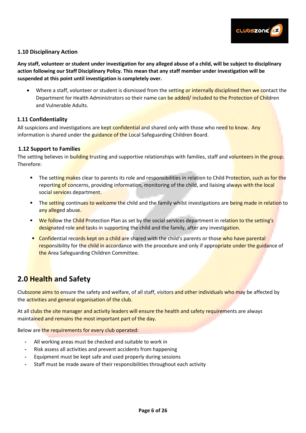

#### **1.10 Disciplinary Action**

**Any staff, volunteer or student under investigation for any alleged abuse of a child, will be subject to disciplinary action following our Staff Disciplinary Policy. This mean that any staff member under investigation will be suspended at this point until investigation is completely over.** 

• Where a staff, volunteer or student is dismissed from the setting or internally disciplined then we contact the Department for Health Administrators so their name can be added/ included to the Protection of Children and Vulnerable Adults.

#### **1.11 Confidentiality**

All suspicions and investigations are kept confidential and shared only with those who need to know. Any information is shared under the guidance of the Local Safeguarding Children Board.

#### **1.12 Support to Families**

The setting believes in building trusting and supportive relationships with families, staff and volunteers in the group. Therefore:

- The setting makes clear to parents its role and responsibilities in relation to Child Protection, such as for the reporting of concerns, providing information, monitoring of the child, and liaising always with the local social services department.
- The setting continues to welcome the child and the family whilst investigations are being made in relation to any alleged abuse.
- We follow the Child Protection Plan as set by the social services department in relation to the setting's designated role and tasks in supporting the child and the family, after any investigation.
- Confidential records kept on a child are shared with the child's parents or those who have parental responsibility for the child in accordance with the procedure and only if appropriate under the guidance of the Area Safeguarding Children Committee.

## **2.0 Health and Safety**

Clubszone aims to ensure the safety and welfare, of all staff, visitors and other individuals who may be affected by the activities and general organisation of the club.

At all clubs the site manager and activity leaders will ensure the health and safety requirements are always maintained and remains the most important part of the day.

Below are the requirements for every club operated:

- **-** All working areas must be checked and suitable to work in
- **-** Risk assess all activities and prevent accidents from happening
- **-** Equipment must be kept safe and used properly during sessions
- **-** Staff must be made aware of their responsibilities throughout each activity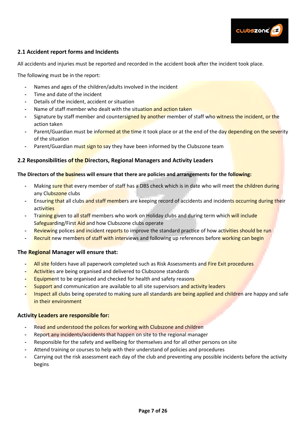

#### **2.1 Accident report forms and Incidents**

All accidents and injuries must be reported and recorded in the accident book after the incident took place.

The following must be in the report:

- **-** Names and ages of the children/adults involved in the incident
- **-** Time and date of the incident
- **-** Details of the incident, accident or situation
- **-** Name of staff member who dealt with the situation and action taken
- **-** Signature by staff member and countersigned by another member of staff who witness the incident, or the action taken
- **-** Parent/Guardian must be informed at the time it took place or at the end of the day depending on the severity of the situation
- Parent/Guardian must sign to say they have been informed by the Clubszone team

#### **2.2 Responsibilities of the Directors, Regional Managers and Activity Leaders**

#### **The Directors of the business will ensure that there are policies and arrangements for the following:**

- **-** Making sure that every member of staff has a DBS check which is in date who will meet the children during any Clubszone clubs
- **-** Ensuring that all clubs and staff members are keeping record of accidents and incidents occurring during their activities
- **-** Training given to all staff members who work on Holiday clubs and during term which will include Safeguarding/First Aid and how Clubszone clubs operate
- **-** Reviewing polices and incident reports to improve the standard practice of how activities should be run
- **-** Recruit new members of staff with interviews and following up references before working can begin

#### **The Regional Manager will ensure that:**

- **-** All site folders have all paperwork completed such as Risk Assessments and Fire Exit procedures
- **-** Activities are being organised and delivered to Clubszone standards
- **-** Equipment to be organised and checked for health and safety reasons
- **-** Support and communication are available to all site supervisors and activity leaders
- **-** Inspect all clubs being operated to making sure all standards are being applied and children are happy and safe in their environment

#### **Activity Leaders are responsible for:**

- **-** Read and understood the polices for working with Clubszone and children
- **-** Report any incidents/accidents that happen on site to the regional manager
- **-** Responsible for the safety and wellbeing for themselves and for all other persons on site
- **-** Attend training or courses to help with their understand of policies and procedures
- **-** Carrying out the risk assessment each day of the club and preventing any possible incidents before the activity begins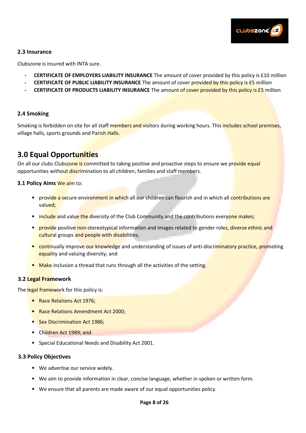

#### **2.3 Insurance**

Clubszone is insured with INTA sure.

- **- CERTIFICATE OF EMPLOYERS LIABILITY INSURANCE** The amount of cover provided by this policy is £10 million
- **- CERTIFICATE OF PUBLIC LIABILITY INSURANCE** The amount of cover provided by this policy is £5 million
- **- CERTIFICATE OF PRODUCTS LIABILITY INSURANCE** The amount of cover provided by this policy is £5 million

#### **2.4 Smoking**

Smoking is forbidden on site for all staff members and visitors during working hours. This includes school premises, village halls, sports grounds and Parish Halls.

## **3.0 Equal Opportunities**

On all our clubs Clubszone is committed to taking positive and proactive steps to ensure we provide equal opportunities without discrimination to all children, families and staff members.

#### **3.1 Policy Aims** We aim to:

- provide a secure environment in which all our children can flourish and in which all contributions are valued;
- include and value the diversity of the Club Community and the contributions everyone makes;
- provide positive non-stereotypical information and images related to gender roles, diverse ethnic and cultural groups and people with disabilities;
- continually improve our knowledge and understanding of issues of anti-discriminatory practice, promoting equality and valuing diversity; and
- Make inclusion a thread that runs through all the activities of the setting.

#### **3.2 Legal Framework**

The legal framework for this policy is:

- Race Relations Act 1976;
- Race Relations Amendment Act 2000;
- Sex Discrimination Act 1986;
- Children Act 1989; and
- Special Educational Needs and Disability Act 2001.

#### **3.3 Policy Objectives**

- We advertise our service widely.
- We aim to provide information in clear, concise language, whether in spoken or written form.
- We ensure that all parents are made aware of our equal opportunities policy.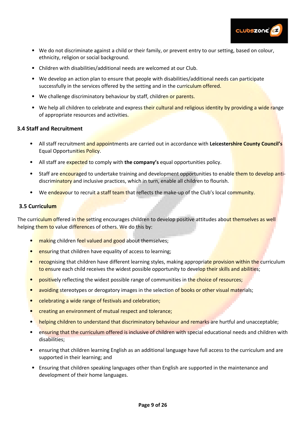

- We do not discriminate against a child or their family, or prevent entry to our setting, based on colour, ethnicity, religion or social background.
- Children with disabilities/additional needs are welcomed at our Club.
- We develop an action plan to ensure that people with disabilities/additional needs can participate successfully in the services offered by the setting and in the curriculum offered.
- We challenge discriminatory behaviour by staff, children or parents.
- We help all children to celebrate and express their cultural and religious identity by providing a wide range of appropriate resources and activities.

#### **3.4 Staff and Recruitment**

- All staff recruitment and appointments are carried out in accordance with **Leicestershire County Council's** Equal Opportunities Policy.
- All staff are expected to comply with **the company's** equal opportunities policy.
- Staff are encouraged to undertake training and development opportunities to enable them to develop antidiscriminatory and inclusive practices, which in turn, enable all children to flourish.
- We endeavour to recruit a staff team that reflects the make-up of the Club's local community.

#### **3.5 Curriculum**

The curriculum offered in the setting encourages children to develop positive attitudes about themselves as well helping them to value differences of others. We do this by:

- making children feel valued and good about themselves;
- **ensuring that children have equality of access to learning;**
- recognising that children have different learning styles, making appropriate provision within the curriculum to ensure each child receives the widest possible opportunity to develop their skills and abilities;
- positively reflecting the widest possible range of communities in the choice of resources;
- avoiding stereotypes or derogatory images in the selection of books or other visual materials;
- celebrating a wide range of festivals and celebration;
- creating an environment of mutual respect and tolerance;
- helping children to understand that discriminatory behaviour and remarks are hurtful and unacceptable;
- ensuring that the curriculum offered is inclusive of children with special educational needs and children with disabilities;
- ensuring that children learning English as an additional language have full access to the curriculum and are supported in their learning; and
- Ensuring that children speaking languages other than English are supported in the maintenance and development of their home languages.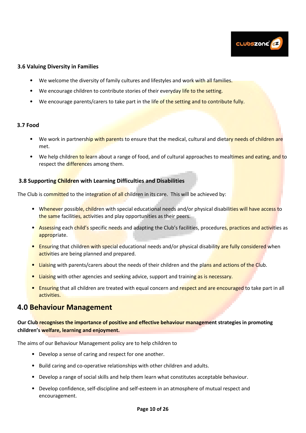

#### **3.6 Valuing Diversity in Families**

- We welcome the diversity of family cultures and lifestyles and work with all families.
- We encourage children to contribute stories of their everyday life to the setting.
- We encourage parents/carers to take part in the life of the setting and to contribute fully.

#### **3.7 Food**

- We work in partnership with parents to ensure that the medical, cultural and dietary needs of children are met.
- We help children to learn about a range of food, and of cultural approaches to mealtimes and eating, and to respect the differences among them.

#### **3.8 Supporting Children with Learning Difficulties and Disabilities**

The Club is committed to the integration of all children in its care. This will be achieved by:

- Whenever possible, children with special educational needs and/or physical disabilities will have access to the same facilities, activities and play opportunities as their peers.
- Assessing each child's specific needs and adapting the Club's facilities, procedures, practices and activities as appropriate.
- Ensuring that children with special educational needs and/or physical disability are fully considered when activities are being planned and prepared.
- Liaising with parents/carers about the needs of their children and the plans and actions of the Club.
- Liaising with other agencies and seeking advice, support and training as is necessary.
- Ensuring that all children are treated with equal concern and respect and are encouraged to take part in all activities.

### **4.0 Behaviour Management**

**Our Club recognises the importance of positive and effective behaviour management strategies in promoting children's welfare, learning and enjoyment.** 

The aims of our Behaviour Management policy are to help children to

- Develop a sense of caring and respect for one another.
- Build caring and co-operative relationships with other children and adults.
- Develop a range of social skills and help them learn what constitutes acceptable behaviour.
- Develop confidence, self-discipline and self-esteem in an atmosphere of mutual respect and encouragement.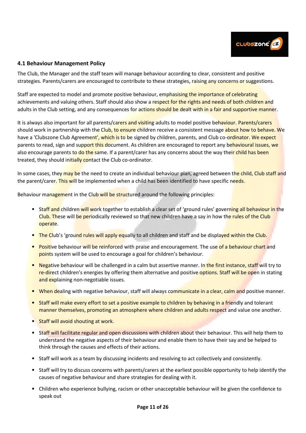

#### **4.1 Behaviour Management Policy**

The Club, the Manager and the staff team will manage behaviour according to clear, consistent and positive strategies. Parents/carers are encouraged to contribute to these strategies, raising any concerns or suggestions.

Staff are expected to model and promote positive behaviour, emphasising the importance of celebrating achievements and valuing others. Staff should also show a respect for the rights and needs of both children and adults in the Club setting, and any consequences for actions should be dealt with in a fair and supportive manner.

It is always also important for all parents/carers and visiting adults to model positive behaviour. Parents/carers should work in partnership with the Club, to ensure children receive a consistent message about how to behave. We have a 'Clubszone Club Agreement', which is to be signed by children, parents, and Club co-ordinator. We expect parents to read, sign and support this document. As children are encouraged to report any behavioural issues, we also encourage parents to do the same. If a parent/carer has any concerns about the way their child has been treated, they should initially contact the Club co-ordinator.

In some cases, they may be the need to create an individual behaviour plan, agreed between the child, Club staff and the parent/carer. This will be implemented when a child has been identified to have specific needs.

Behaviour management in the Club will be structured around the following principles:

- Staff and children will work together to establish a clear set of 'ground rules' governing all behaviour in the Club. These will be periodically reviewed so that new children have a say in how the rules of the Club operate.
- The Club's 'ground rules will apply equally to all children and staff and be displayed within the Club.
- Positive behaviour will be reinforced with praise and encouragement. The use of a behaviour chart and points system will be used to encourage a goal for children's behaviour.
- Negative behaviour will be challenged in a calm but assertive manner. In the first instance, staff will try to re-direct children's energies by offering them alternative and positive options. Staff will be open in stating and explaining non-negotiable issues.
- When dealing with negative behaviour, staff will always communicate in a clear, calm and positive manner.
- Staff will make every effort to set a positive example to children by behaving in a friendly and tolerant manner themselves, promoting an atmosphere where children and adults respect and value one another.
- Staff will avoid shouting at work.
- Staff will facilitate regular and open discussions with children about their behaviour. This will help them to understand the negative aspects of their behaviour and enable them to have their say and be helped to think through the causes and effects of their actions.
- Staff will work as a team by discussing incidents and resolving to act collectively and consistently.
- Staff will try to discuss concerns with parents/carers at the earliest possible opportunity to help identify the causes of negative behaviour and share strategies for dealing with it.
- Children who experience bullying, racism or other unacceptable behaviour will be given the confidence to speak out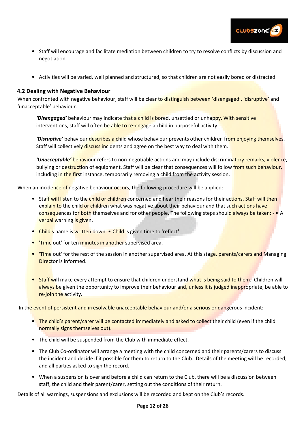

- Staff will encourage and facilitate mediation between children to try to resolve conflicts by discussion and negotiation.
- Activities will be varied, well planned and structured, so that children are not easily bored or distracted.

#### **4.2 Dealing with Negative Behaviour**

When confronted with negative behaviour, staff will be clear to distinguish between 'disengaged', 'disruptive' and 'unacceptable' behaviour.

*'Disengaged'* behaviour may indicate that a child is bored, unsettled or unhappy. With sensitive interventions, staff will often be able to re-engage a child in purposeful activity.

*'Disruptive'* behaviour describes a child whose behaviour prevents other children from enjoying themselves. Staff will collectively discuss incidents and agree on the best way to deal with them.

*'Unacceptable'* behaviour refers to non-negotiable actions and may include discriminatory remarks, violence, bullying or destruction of equipment. Staff will be clear that consequences will follow from such behaviour, including in the first instance, temporarily removing a child from the activity session.

When an incidence of negative behaviour occurs, the following procedure will be applied:

- Staff will listen to the child or children concerned and hear their reasons for their actions. Staff will then explain to the child or children what was negative about their behaviour and that such actions have consequences for both themselves and for other people. The following steps should always be taken: - • A verbal warning is given.
- Child's name is written down. Child is given time to 'reflect'.
- **'Time** out' for ten minutes in another supervised area.
- Time out' for the rest of the session in another supervised area. At this stage, parents/carers and Managing Director is informed.
- Staff will make every attempt to ensure that children understand what is being said to them. Children will always be given the opportunity to improve their behaviour and, unless it is judged inappropriate, be able to re-join the activity.

In the event of persistent and irresolvable unacceptable behaviour and/or a serious or dangerous incident:

- The child's parent/carer will be contacted immediately and asked to collect their child (even if the child normally signs themselves out).
- The child will be suspended from the Club with immediate effect.
- The Club Co-ordinator will arrange a meeting with the child concerned and their parents/carers to discuss the incident and decide if it possible for them to return to the Club. Details of the meeting will be recorded, and all parties asked to sign the record.
- When a suspension is over and before a child can return to the Club, there will be a discussion between staff, the child and their parent/carer, setting out the conditions of their return.

Details of all warnings, suspensions and exclusions will be recorded and kept on the Club's records.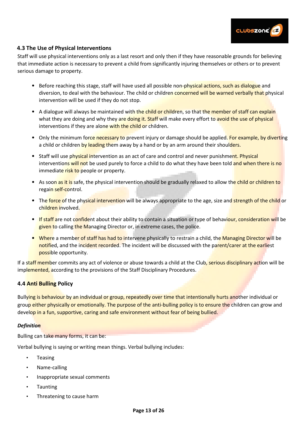

#### **4.3 The Use of Physical Interventions**

Staff will use physical interventions only as a last resort and only then if they have reasonable grounds for believing that immediate action is necessary to prevent a child from significantly injuring themselves or others or to prevent serious damage to property.

- Before reaching this stage, staff will have used all possible non-physical actions, such as dialogue and diversion, to deal with the behaviour. The child or children concerned will be warned verbally that physical intervention will be used if they do not stop.
- A dialogue will always be maintained with the child or children, so that the member of staff can explain what they are doing and why they are doing it. Staff will make every effort to avoid the use of physical interventions if they are alone with the child or children.
- Only the minimum force necessary to prevent injury or damage should be applied. For example, by diverting a child or children by leading them away by a hand or by an arm around their shoulders.
- Staff will use physical intervention as an act of care and control and never punishment. Physical interventions will not be used purely to force a child to do what they have been told and when there is no immediate risk to people or property.
- As soon as it is safe, the physical intervention should be gradually relaxed to allow the child or children to regain self-control.
- The force of the physical intervention will be always appropriate to the age, size and strength of the child or children involved.
- If staff are not confident about their ability to contain a situation or type of behaviour, consideration will be given to calling the Managing Director or, in extreme cases, the police.
- Where a member of staff has had to intervene physically to restrain a child, the Managing Director will be notified, and the incident recorded. The incident will be discussed with the parent/carer at the earliest possible opportunity.

If a staff member commits any act of violence or abuse towards a child at the Club, serious disciplinary action will be implemented, according to the provisions of the Staff Disciplinary Procedures.

#### **4.4 Anti Bulling Policy**

Bullying is behaviour by an individual or group, repeatedly over time that intentionally hurts another individual or group either physically or emotionally. The purpose of the anti-bulling policy is to ensure the children can grow and develop in a fun, supportive, caring and safe environment without fear of being bullied.

#### *Definition*

Bulling can take many forms, it can be:

Verbal bullying is saying or writing mean things. Verbal bullying includes:

- Teasing
- Name-calling
- Inappropriate sexual comments
- **Taunting**
- Threatening to cause harm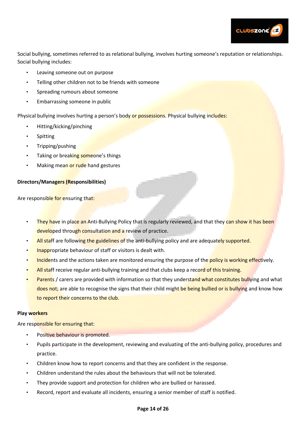

Social bullying, sometimes referred to as relational bullying, involves hurting someone's reputation or relationships. Social bullying includes:

- Leaving someone out on purpose
- Telling other children not to be friends with someone
- Spreading rumours about someone
- Embarrassing someone in public

Physical bullying involves hurting a person's body or possessions. Physical bullying includes:

- Hitting/kicking/pinching
- **Spitting**
- Tripping/pushing
- Taking or breaking someone's things
- Making mean or rude hand gestures

#### **Directors/Managers (Responsibilities)**

Are responsible for ensuring that:

- They have in place an Anti-Bullying Policy that is regularly reviewed, and that they can show it has been developed through consultation and a review of practice.
- All staff are following the guidelines of the anti-bullying policy and are adequately supported.
- Inappropriate behaviour of staff or visitors is dealt with.
- Incidents and the actions taken are monitored ensuring the purpose of the policy is working effectively.
- All staff receive regular anti-bullying training and that clubs keep a record of this training.
- Parents / carers are provided with information so that they understand what constitutes bullying and what does not; are able to recognise the signs that their child might be being bullied or is bullying and know how to report their concerns to the club.

#### **Play workers**

Are responsible for ensuring that:

- Positive behaviour is promoted.
- Pupils participate in the development, reviewing and evaluating of the anti-bullying policy, procedures and practice.
- Children know how to report concerns and that they are confident in the response.
- Children understand the rules about the behaviours that will not be tolerated.
- They provide support and protection for children who are bullied or harassed.
- Record, report and evaluate all incidents, ensuring a senior member of staff is notified.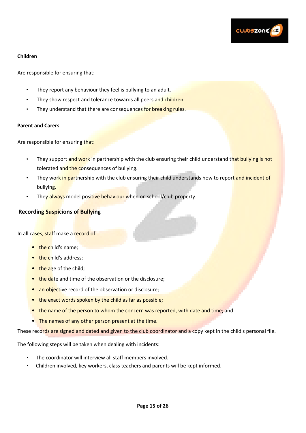

#### **Children**

Are responsible for ensuring that:

- They report any behaviour they feel is bullying to an adult.
- They show respect and tolerance towards all peers and children.
- They understand that there are consequences for breaking rules.

#### **Parent and Carers**

Are responsible for ensuring that:

- They support and work in partnership with the club ensuring their child understand that bullying is not tolerated and the consequences of bullying.
- They work in partnership with the club ensuring their child understands how to report and incident of bullying.
- They always model positive behaviour when on school/club property.

#### **Recording Suspicions of Bullying**

In all cases, staff make a record of:

- the child's name;
- the child's address;
- the age of the child;
- the date and time of the observation or the disclosure;
- an objective record of the observation or disclosure;
- the exact words spoken by the child as far as possible;
- the name of the person to whom the concern was reported, with date and time; and
- The names of any other person present at the time.

These records are signed and dated and given to the club coordinator and a copy kept in the child's personal file.

The following steps will be taken when dealing with incidents:

- The coordinator will interview all staff members involved.
- Children involved, key workers, class teachers and parents will be kept informed.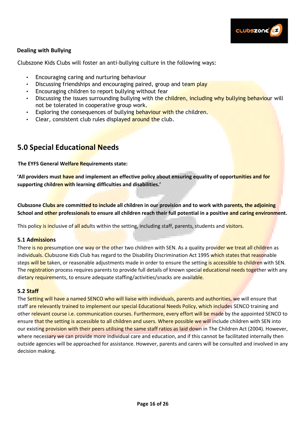

#### **Dealing with Bullying**

Clubszone Kids Clubs will foster an anti-bullying culture in the following ways:

- Encouraging caring and nurturing behaviour
- Discussing friendships and encouraging paired, group and team play
- Encouraging children to report bullying without fear
- Discussing the issues surrounding bullying with the children, including why bullying behaviour will not be tolerated in cooperative group work.
- Exploring the consequences of bullying behaviour with the children.
- Clear, consistent club rules displayed around the club.

## **5.0 Special Educational Needs**

**The EYFS General Welfare Requirements state:** 

**'All providers must have and implement an effective policy about ensuring equality of opportunities and for supporting children with learning difficulties and disabilities.'**

**Clubszone Clubs are committed to include all children in our provision and to work with parents, the adjoining**  School and other professionals to ensure all children reach their full potential in a positive and caring environment.

This policy is inclusive of all adults within the setting, including staff, parents, students and visitors.

#### **5.1 Admissions**

There is no presumption one way or the other two children with SEN. As a quality provider we treat all children as individuals. Clubszone Kids Club has regard to the Disability Discrimination Act 1995 which states that reasonable steps will be taken, or reasonable adjustments made in order to ensure the setting is accessible to children with SEN. The registration process requires parents to provide full details of known special educational needs together with any dietary requirements, to ensure adequate staffing/activities/snacks are available.

#### **5.2 Staff**

The Setting will have a named SENCO who will liaise with individuals, parents and authorities, we will ensure that staff are relevantly trained to implement our special Educational Needs Policy, which includes SENCO training and other relevant course i.e. communication courses. Furthermore, every effort will be made by the appointed SENCO to ensure that the setting is accessible to all children and users. Where possible we will include children with SEN into our existing provision with their peers utilising the same staff ratios as laid down in The Children Act (2004). However, where necessary we can provide more individual care and education, and if this cannot be facilitated internally then outside agencies will be approached for assistance. However, parents and carers will be consulted and involved in any decision making.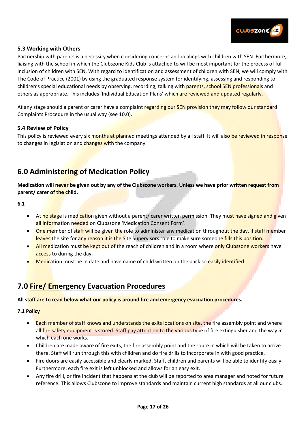

#### **5.3 Working with Others**

Partnership with parents is a necessity when considering concerns and dealings with children with SEN. Furthermore, liaising with the school in which the Clubszone Kids Club is attached to will be most important for the process of full inclusion of children with SEN. With regard to identification and assessment of children with SEN, we will comply with The Code of Practice (2001) by using the graduated response system for identifying, assessing and responding to children's special educational needs by observing, recording, talking with parents, school SEN professionals and others as appropriate. This includes 'Individual Education Plans' which are reviewed and updated regularly.

At any stage should a parent or carer have a complaint regarding our SEN provision they may follow our standard Complaints Procedure in the usual way (see 10.0).

#### **5.4 Review of Policy**

This policy is reviewed every six months at planned meetings attended by all staff. It will also be reviewed in response to changes in legislation and changes with the company.

## **6.0 Administering of Medication Policy**

**Medication will never be given out by any of the Clubszone workers. Unless we have prior written request from parent/ carer of the child.** 

**6.1** 

- At no stage is medication given without a parent/ carer written permission. They must have signed and given all information needed on Clubszone 'Medication Consent Form'.
- One member of staff will be given the role to administer any medication throughout the day. If staff member leaves the site for any reason it is the Site Supervisors role to make sure someone fills this position.
- All medication must be kept out of the reach of children and in a room where only Clubszone workers have access to during the day.
- Medication must be in date and have name of child written on the pack so easily identified.

## **7.0 Fire/ Emergency Evacuation Procedures**

**All staff are to read below what our policy is around fire and emergency evacuation procedures.** 

#### **7.1 Policy**

- Each member of staff knows and understands the exits locations on site, the fire assembly point and where all fire safety equipment is stored. Staff pay attention to the various type of fire extinguisher and the way in which each one works.
- Children are made aware of fire exits, the fire assembly point and the route in which will be taken to arrive there. Staff will run through this with children and do fire drills to incorporate in with good practice.
- Fire doors are easily accessible and clearly marked. Staff, children and parents will be able to identify easily. Furthermore, each fire exit is left unblocked and allows for an easy exit.
- Any fire drill, or fire incident that happens at the club will be reported to area manager and noted for future reference. This allows Clubszone to improve standards and maintain current high standards at all our clubs.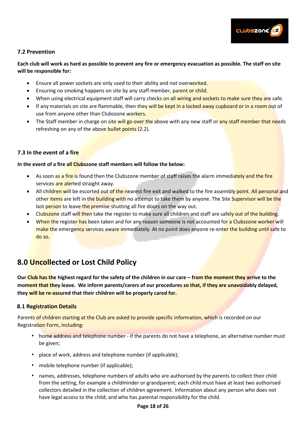

#### **7.2 Prevention**

**Each club will work as hard as possible to prevent any fire or emergency evacuation as possible. The staff on site will be responsible for:** 

- Ensure all power sockets are only used to their ability and not overworked.
- Ensuring no smoking happens on site by any staff member, parent or child.
- When using electrical equipment staff will carry checks on all wiring and sockets to make sure they are safe.
- If any materials on site are flammable, then they will be kept in a locked away cupboard or in a room out of use from anyone other than Clubszone workers.
- The Staff member in charge on site will go over the above with any new staff or any staff member that needs refreshing on any of the above bullet points (2.2).

#### **7.3 In the event of a fire**

#### **In the event of a fire all Clubszone staff members will follow the below:**

- As soon as a fire is found then the Clubszone member of staff raises the alarm immediately and the fire services are alerted straight away.
- All children will be escorted out of the nearest fire exit and walked to the fire assembly point. All personal and other items are left in the building with no attempt to take them by anyone. The Site Supervisor will be the last person to leave the premise shutting all fire doors on the way out.
- Clubszone staff will then take the register to make sure all children and staff are safely out of the building.
- When the register has been taken and for any reason someone is not accounted for a Clubszone worker will make the emergency services aware immediately. At no point does anyone re-enter the building until safe to do so.

## **8.0 Uncollected or Lost Child Policy**

**Our Club has the highest regard for the safety of the children in our care – from the moment they arrive to the moment that they leave. We inform parents/carers of our procedures so that, if they are unavoidably delayed, they will be re-assured that their children will be properly cared for.** 

#### **8.1 Registration Details**

Parents of children starting at the Club are asked to provide specific information, which is recorded on our Registration Form, including:

- home address and telephone number if the parents do not have a telephone, an alternative number must be given;
- place of work, address and telephone number (if applicable);
- mobile telephone number (if applicable);
- names, addresses, telephone numbers of adults who are authorised by the parents to collect their child from the setting, for example a childminder or grandparent; each child must have at least two authorised collectors detailed in the collection of children agreement. Information about any person who does not have legal access to the child; and who has parental responsibility for the child.

#### **Page 18 of 26**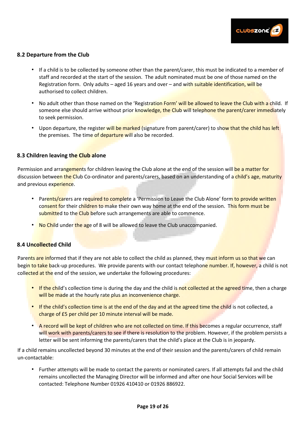

#### **8.2 Departure from the Club**

- If a child is to be collected by someone other than the parent/carer, this must be indicated to a member of staff and recorded at the start of the session. The adult nominated must be one of those named on the Registration form. Only adults – aged 16 years and over – and with suitable identification, will be authorised to collect children.
- No adult other than those named on the 'Registration Form' will be allowed to leave the Club with a child. If someone else should arrive without prior knowledge, the Club will telephone the parent/carer immediately to seek permission.
- Upon departure, the register will be marked (signature from parent/carer) to show that the child has left the premises. The time of departure will also be recorded.

#### **8.3 Children leaving the Club alone**

Permission and arrangements for children leaving the Club alone at the end of the session will be a matter for discussion between the Club Co-ordinator and parents/carers, based on an understanding of a child's age, maturity and previous experience.

- Parents/carers are required to complete a 'Permission to Leave the Club Alone' form to provide written consent for their children to make their own way home at the end of the session. This form must be submitted to the Club before such arrangements are able to commence.
- No Child under the age of 8 will be allowed to leave the Club unaccompanied.

#### **8.4 Uncollected Child**

Parents are informed that if they are not able to collect the child as planned, they must inform us so that we can begin to take back-up procedures. We provide parents with our contact telephone number. If, however, a child is not collected at the end of the session, we undertake the following procedures:

- If the child's collection time is during the day and the child is not collected at the agreed time, then a charge will be made at the hourly rate plus an inconvenience charge.
- If the child's collection time is at the end of the day and at the agreed time the child is not collected, a charge of £5 per child per 10 minute interval will be made.
- A record will be kept of children who are not collected on time. If this becomes a regular occurrence, staff will work with parents/carers to see if there is resolution to the problem. However, if the problem persists a letter will be sent informing the parents/carers that the child's place at the Club is in jeopardy.

If a child remains uncollected beyond 30 minutes at the end of their session and the parents/carers of child remain un-contactable:

• Further attempts will be made to contact the parents or nominated carers. If all attempts fail and the child remains uncollected the Managing Director will be informed and after one hour Social Services will be contacted: Telephone Number 01926 410410 or 01926 886922.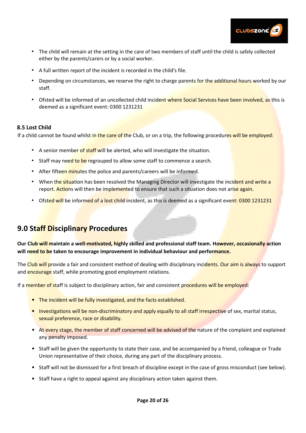

- The child will remain at the setting in the care of two members of staff until the child is safely collected either by the parents/carers or by a social worker.
- A full written report of the incident is recorded in the child's file.
- Depending on circumstances, we reserve the right to charge parents for the additional hours worked by our staff.
- Ofsted will be informed of an uncollected child incident where Social Services have been involved, as this is deemed as a significant event: 0300 1231231

#### **8.5 Lost Child**

If a child cannot be found whilst in the care of the Club, or on a trip, the following procedures will be employed:

- A senior member of staff will be alerted, who will investigate the situation.
- Staff may need to be regrouped to allow some staff to commence a search.
- After fifteen minutes the police and parents/careers will be informed.
- When the situation has been resolved the Managing Director will investigate the incident and write a report. Actions will then be implemented to ensure that such a situation does not arise again.
- Ofsted will be informed of a lost child incident, as this is deemed as a significant event: 0300 1231231

## **9.0 Staff Disciplinary Procedures**

**Our Club will maintain a well-motivated, highly skilled and professional staff team. However, occasionally action will need to be taken to encourage improvement in individual behaviour and performance.** 

The Club will provide a fair and consistent method of dealing with disciplinary incidents. Our aim is always to support and encourage staff, while promoting good employment relations.

If a member of staff is subject to disciplinary action, fair and consistent procedures will be employed:

- The incident will be fully investigated, and the facts established.
- Investigations will be non-discriminatory and apply equally to all staff irrespective of sex, marital status, sexual preference, race or disability.
- At every stage, the member of staff concerned will be advised of the nature of the complaint and explained any penalty imposed.
- Staff will be given the opportunity to state their case, and be accompanied by a friend, colleague or Trade Union representative of their choice, during any part of the disciplinary process.
- Staff will not be dismissed for a first breach of discipline except in the case of gross misconduct (see below).
- Staff have a right to appeal against any disciplinary action taken against them.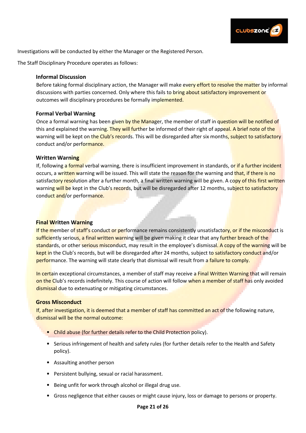

Investigations will be conducted by either the Manager or the Registered Person.

The Staff Disciplinary Procedure operates as follows:

#### **Informal Discussion**

Before taking formal disciplinary action, the Manager will make every effort to resolve the matter by informal discussions with parties concerned. Only where this fails to bring about satisfactory improvement or outcomes will disciplinary procedures be formally implemented.

#### **Formal Verbal Warning**

Once a formal warning has been given by the Manager, the member of staff in question will be notified of this and explained the warning. They will further be informed of their right of appeal. A brief note of the warning will be kept on the Club's records. This will be disregarded after six months, subject to satisfactory conduct and/or performance.

#### **Written Warning**

If, following a formal verbal warning, there is insufficient improvement in standards, or if a further incident occurs, a written warning will be issued. This will state the reason for the warning and that, if there is no satisfactory resolution after a further month, a final written warning will be given. A copy of this first written warning will be kept in the Club's records, but will be disregarded after 12 months, subject to satisfactory conduct and/or performance.

#### **Final Written Warning**

If the member of staff's conduct or performance remains consistently unsatisfactory, or if the misconduct is sufficiently serious, a final written warning will be given making it clear that any further breach of the standards, or other serious misconduct, may result in the employee's dismissal. A copy of the warning will be kept in the Club's records, but will be disregarded after 24 months, subject to satisfactory conduct and/or performance. The warning will state clearly that dismissal will result from a failure to comply.

In certain exceptional circumstances, a member of staff may receive a Final Written Warning that will remain on the Club's records indefinitely. This course of action will follow when a member of staff has only avoided dismissal due to extenuating or mitigating circumstances.

#### **Gross Misconduct**

If, after investigation, it is deemed that a member of staff has committed an act of the following nature, dismissal will be the normal outcome:

- Child abuse (for further details refer to the Child Protection policy).
- Serious infringement of health and safety rules (for further details refer to the Health and Safety policy).
- Assaulting another person
- Persistent bullying, sexual or racial harassment.
- Being unfit for work through alcohol or illegal drug use.
- Gross negligence that either causes or might cause injury, loss or damage to persons or property.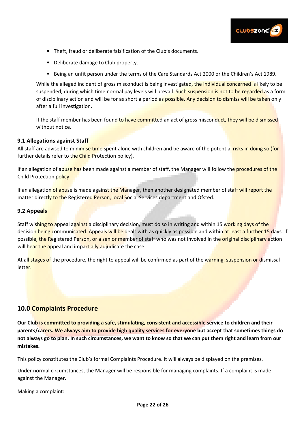

- Theft, fraud or deliberate falsification of the Club's documents.
- Deliberate damage to Club property.
- Being an unfit person under the terms of the Care Standards Act 2000 or the Children's Act 1989.

While the alleged incident of gross misconduct is being investigated, the individual concerned is likely to be suspended, during which time normal pay levels will prevail. Such suspension is not to be regarded as a form of disciplinary action and will be for as short a period as possible. Any decision to dismiss will be taken only after a full investigation.

If the staff member has been found to have committed an act of gross misconduct, they will be dismissed without notice.

#### **9.1 Allegations against Staff**

All staff are advised to minimise time spent alone with children and be aware of the potential risks in doing so (for further details refer to the Child Protection policy).

If an allegation of abuse has been made against a member of staff, the Manager will follow the **procedures of the** Child Protection policy

If an allegation of abuse is made against the Manager, then another designated member of staff will report the matter directly to the Registered Person, local Social Services department and Ofsted.

#### **9.2 Appeals**

Staff wishing to appeal against a disciplinary decision, must do so in writing and within 15 working days of the decision being communicated. Appeals will be dealt with as quickly as possible and within at least a further 15 days. If possible, the Registered Person, or a senior member of staff who was not involved in the original disciplinary action will hear the appeal and impartially adjudicate the case.

At all stages of the procedure, the right to appeal will be confirmed as part of the warning, suspension or dismissal letter.

#### **10.0 Complaints Procedure**

**Our Club is committed to providing a safe, stimulating, consistent and accessible service to children and their parents/carers. We always aim to provide high quality services for everyone but accept that sometimes things do not always go to plan. In such circumstances, we want to know so that we can put them right and learn from our mistakes.** 

This policy constitutes the Club's formal Complaints Procedure. It will always be displayed on the premises.

Under normal circumstances, the Manager will be responsible for managing complaints. If a complaint is made against the Manager.

Making a complaint: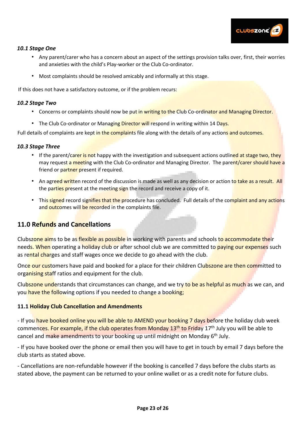

#### *10.1 Stage One*

- Any parent/carer who has a concern about an aspect of the settings provision talks over, first, their worries and anxieties with the child's Play-worker or the Club Co-ordinator.
- Most complaints should be resolved amicably and informally at this stage.

If this does not have a satisfactory outcome, or if the problem recurs:

#### *10.2 Stage Two*

- Concerns or complaints should now be put in writing to the Club Co-ordinator and Managing Director.
- The Club Co-ordinator or Managing Director will respond in writing within 14 Days.

Full details of complaints are kept in the complaints file along with the details of any actions and outcomes.

#### *10.3 Stage Three*

- If the parent/carer is not happy with the investigation and subsequent actions outlined at stage two, they may request a meeting with the Club Co-ordinator and Managing Director. The parent/carer should have a friend or partner present if required.
- An agreed written record of the discussion is made as well as any decision or action to take as a result. All the parties present at the meeting sign the record and receive a copy of it.
- This signed record signifies that the procedure has concluded. Full details of the complaint and any actions and outcomes will be recorded in the complaints file.

#### **11.0 Refunds and Cancellations**

Clubszone aims to be as flexible as possible in working with parents and schools to accommodate their needs. When operating a holiday club or after school club we are committed to paying our expenses such as rental charges and staff wages once we decide to go ahead with the club.

Once our customers have paid and booked for a place for their children Clubszone are then committed to organising staff ratios and equipment for the club.

Clubszone understands that circumstances can change, and we try to be as helpful as much as we can, and you have the following options if you needed to change a booking;

#### **11.1 Holiday Club Cancellation and Amendments**

- If you have booked online you will be able to AMEND your booking 7 days before the holiday club week commences. For example, if the club operates from Monday 13<sup>th</sup> to Friday 17<sup>th</sup> July you will be able to cancel and make amendments to your booking up until midnight on Monday 6<sup>th</sup> July.

- If you have booked over the phone or email then you will have to get in touch by email 7 days before the club starts as stated above.

- Cancellations are non-refundable however if the booking is cancelled 7 days before the clubs starts as stated above, the payment can be returned to your online wallet or as a credit note for future clubs.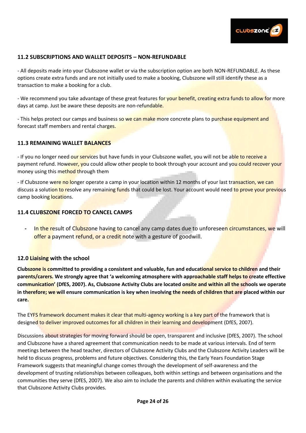

#### **11.2 SUBSCRIPTIONS AND WALLET DEPOSITS – NON-REFUNDABLE**

- All deposits made into your Clubszone wallet or via the subscription option are both NON-REFUNDABLE. As these options create extra funds and are not initially used to make a booking, Clubszone will still identify these as a transaction to make a booking for a club.

- We recommend you take advantage of these great features for your benefit, creating extra funds to allow for more days at camp. Just be aware these deposits are non-refundable.

- This helps protect our camps and business so we can make more concrete plans to purchase equipment and forecast staff members and rental charges.

#### **11.3 REMAINING WALLET BALANCES**

- If you no longer need our services but have funds in your Clubszone wallet, you will not be able to receive a payment refund. However, you could allow other people to book through your account and you could recover your money using this method through them

- If Clubszone were no longer operate a camp in your location within 12 months of your last transaction, we can discuss a solution to resolve any remaining funds that could be lost. Your account would need to prove your previous camp booking locations.

#### **11.4 CLUBSZONE FORCED TO CANCEL CAMPS**

**-** In the result of Clubszone having to cancel any camp dates due to unforeseen circumstances, we will offer a payment refund, or a credit note with a gesture of goodwill.

#### **12.0 Liaising with the school**

**Clubszone is committed to providing a consistent and valuable, fun and educational service to children and their parents/carers. We strongly agree that 'a welcoming atmosphere with approachable staff helps to create effective communication' (DfES, 2007). As, Clubszone Activity Clubs are located onsite and within all the schools we operate in therefore; we will ensure communication is key when involving the needs of children that are placed within our care.** 

The EYFS framework document makes it clear that multi-agency working is a key part of the framework that is designed to deliver improved outcomes for all children in their learning and development (DfES, 2007).

Discussions about strategies for moving forward should be open, transparent and inclusive (DfES, 2007). The school and Clubszone have a shared agreement that communication needs to be made at various intervals. End of term meetings between the head teacher, directors of Clubszone Activity Clubs and the Clubszone Activity Leaders will be held to discuss progress, problems and future objectives. Considering this, the Early Years Foundation Stage Framework suggests that meaningful change comes through the development of self-awareness and the development of trusting relationships between colleagues, both within settings and between organisations and the communities they serve (DfES, 2007). We also aim to include the parents and children within evaluating the service that Clubszone Activity Clubs provides.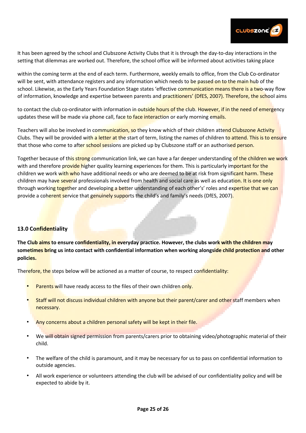

It has been agreed by the school and Clubszone Activity Clubs that it is through the day-to-day interactions in the setting that dilemmas are worked out. Therefore, the school office will be informed about activities taking place

within the coming term at the end of each term. Furthermore, weekly emails to office, from the Club Co-ordinator will be sent, with attendance registers and any information which needs to be passed on to the main hub of the school. Likewise, as the Early Years Foundation Stage states 'effective communication means there is a two-way flow of information, knowledge and expertise between parents and practitioners' (DfES, 2007). Therefore, the school aims

to contact the club co-ordinator with information in outside hours of the club. However, if in the need of emergency updates these will be made via phone call, face to face interaction or early morning emails.

Teachers will also be involved in communication, so they know which of their children attend Clubszone Activity Clubs. They will be provided with a letter at the start of term, listing the names of children to attend. This is to ensure that those who come to after school sessions are picked up by Clubszone staff or an authorised person.

Together because of this strong communication link, we can have a far deeper understanding of the children we work with and therefore provide higher quality learning experiences for them. This is particularly important for the children we work with who have additional needs or who are deemed to be at risk from significant harm. These children may have several professionals involved from health and social care as well as education. It is one only through working together and developing a better understanding of each other's' roles and expertise that we can provide a coherent service that genuinely supports the child's and family's needs (DfES, 2007).

#### **13.0 Confidentiality**

**The Club aims to ensure confidentiality, in everyday practice. However, the clubs work with the children may sometimes bring us into contact with confidential information when working alongside child protection and other policies.** 

Therefore, the steps below will be actioned as a matter of course, to respect confidentiality:

- Parents will have ready access to the files of their own children only.
- Staff will not discuss individual children with anyone but their parent/carer and other staff members when necessary.
- Any concerns about a children personal safety will be kept in their file.
- We will obtain signed permission from parents/carers prior to obtaining video/photographic material of their child.
- The welfare of the child is paramount, and it may be necessary for us to pass on confidential information to outside agencies.
- All work experience or volunteers attending the club will be advised of our confidentiality policy and will be expected to abide by it.